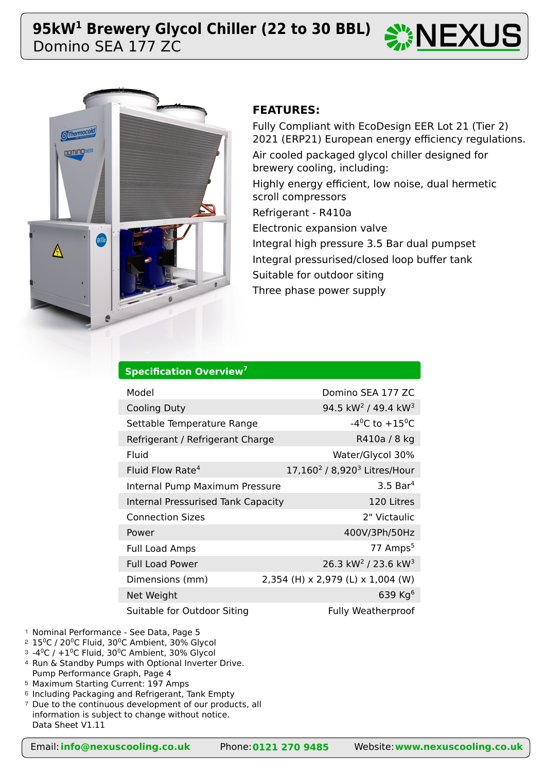# Domino SEA 177 ZC **95kW1 Brewery Glycol Chiller (22 to 30 BBL)**

**Specification Overview<sup>7</sup>**





## **FEATURES:**

Fully Compliant with EcoDesign EER Lot 21 (Tier 2) 2021 (ERP21) European energy efficiency regulations. Air cooled packaged glycol chiller designed for brewery cooling, including: Highly energy efficient, low noise, dual hermetic scroll compressors Refrigerant - R410a Electronic expansion valve Integral high pressure 3.5 Bar dual pumpset

Integral pressurised/closed loop buffer tank Suitable for outdoor siting

Three phase power supply

| Model                                     | Domino SEA 177 ZC                                    |
|-------------------------------------------|------------------------------------------------------|
| <b>Cooling Duty</b>                       | 94.5 kW <sup>2</sup> / 49.4 kW <sup>3</sup>          |
| Settable Temperature Range                | $-4^0C$ to $+15^0C$                                  |
| Refrigerant / Refrigerant Charge          | R410a / 8 kg                                         |
| Fluid                                     | Water/Glycol 30%                                     |
| Fluid Flow Rate <sup>4</sup>              | 17,160 <sup>2</sup> / 8,920 <sup>3</sup> Litres/Hour |
| Internal Pump Maximum Pressure            | $3.5$ Bar <sup>4</sup>                               |
| <b>Internal Pressurised Tank Capacity</b> | 120 Litres                                           |
| <b>Connection Sizes</b>                   | 2" Victaulic                                         |
| Power                                     | 400V/3Ph/50Hz                                        |
| <b>Full Load Amps</b>                     | 77 Amps <sup>5</sup>                                 |
| <b>Full Load Power</b>                    | 26.3 kW <sup>2</sup> / 23.6 kW <sup>3</sup>          |
| Dimensions (mm)                           | 2,354 (H) x 2,979 (L) x 1,004 (W)                    |
| Net Weight                                | 639 Kg $6$                                           |
| Suitable for Outdoor Siting               | <b>Fully Weatherproof</b>                            |

- <sup>1</sup> Nominal Performance See Data, Page 5
- $2$   $15^{\circ}$ C / 20 $^{\circ}$ C Fluid, 30 $^{\circ}$ C Ambient, 30% Glycol
- $^{\circ}$  -4 $^{\circ}$ C / +1 $^{\circ}$ C Fluid, 30 $^{\circ}$ C Ambient, 30% Glycol
- 4 Run & Standby Pumps with Optional Inverter Drive. Pump Performance Graph, Page 4
- Maximum Starting Current: 197 Amps 5
- <sup>6</sup> Including Packaging and Refrigerant, Tank Empty
- <sup>7</sup> Due to the continuous development of our products, all information is subject to change without notice. Data Sheet V1.11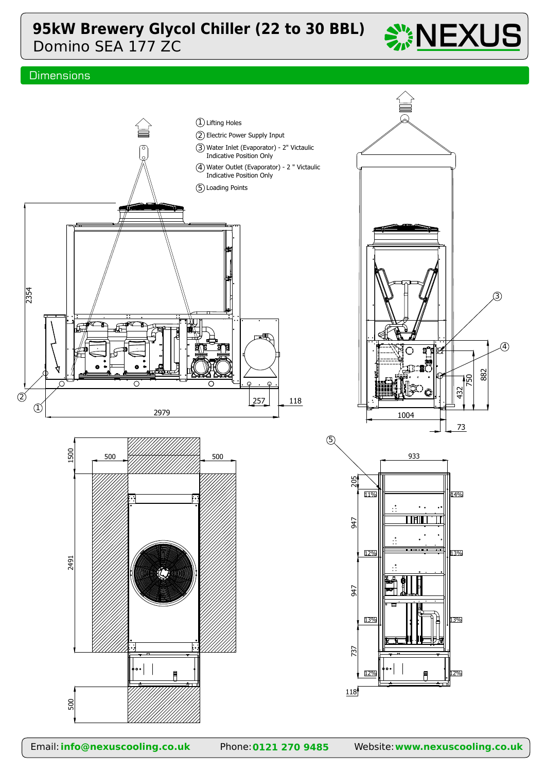# Domino SEA 177 ZC **95kW Brewery Glycol Chiller (22 to 30 BBL)**



## **Dimensions**

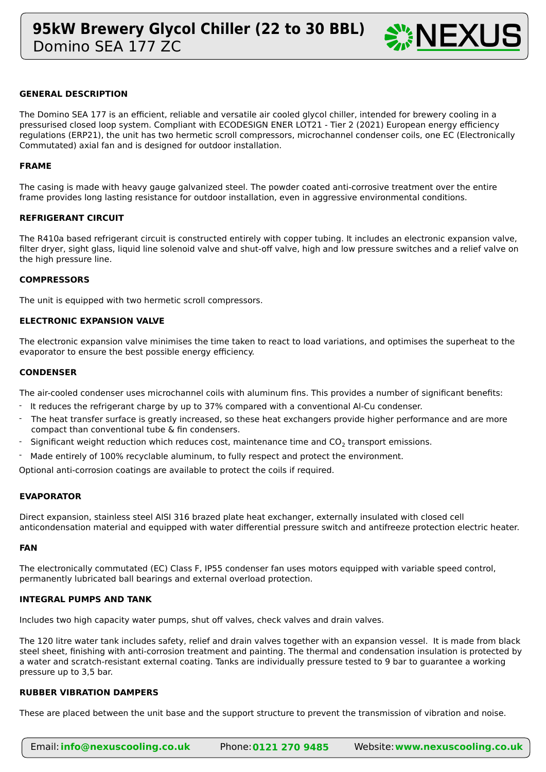

### **GENERAL DESCRIPTION**

The Domino SEA 177 is an efficient, reliable and versatile air cooled glycol chiller, intended for brewery cooling in a pressurised closed loop system. Compliant with ECODESIGN ENER LOT21 - Tier 2 (2021) European energy efficiency regulations (ERP21), the unit has two hermetic scroll compressors, microchannel condenser coils, one EC (Electronically Commutated) axial fan and is designed for outdoor installation.

#### **FRAME**

The casing is made with heavy gauge galvanized steel. The powder coated anti-corrosive treatment over the entire frame provides long lasting resistance for outdoor installation, even in aggressive environmental conditions.

#### **REFRIGERANT CIRCUIT**

The R410a based refrigerant circuit is constructed entirely with copper tubing. It includes an electronic expansion valve, filter dryer, sight glass, liquid line solenoid valve and shut-off valve, high and low pressure switches and a relief valve on the high pressure line.

#### **COMPRESSORS**

The unit is equipped with two hermetic scroll compressors.

#### **ELECTRONIC EXPANSION VALVE**

The electronic expansion valve minimises the time taken to react to load variations, and optimises the superheat to the evaporator to ensure the best possible energy efficiency.

#### **CONDENSER**

The air-cooled condenser uses microchannel coils with aluminum fins. This provides a number of significant benefits:

- It reduces the refrigerant charge by up to 37% compared with a conventional Al-Cu condenser.
- The heat transfer surface is greatly increased, so these heat exchangers provide higher performance and are more compact than conventional tube & fin condensers. -
- Significant weight reduction which reduces cost, maintenance time and  $CO<sub>2</sub>$  transport emissions. -
- Made entirely of 100% recyclable aluminum, to fully respect and protect the environment. -

Optional anti-corrosion coatings are available to protect the coils if required.

#### **EVAPORATOR**

Direct expansion, stainless steel AISI 316 brazed plate heat exchanger, externally insulated with closed cell anticondensation material and equipped with water differential pressure switch and antifreeze protection electric heater.

#### **FAN**

The electronically commutated (EC) Class F, IP55 condenser fan uses motors equipped with variable speed control, permanently lubricated ball bearings and external overload protection.

#### **INTEGRAL PUMPS AND TANK**

Includes two high capacity water pumps, shut off valves, check valves and drain valves.

The 120 litre water tank includes safety, relief and drain valves together with an expansion vessel. It is made from black steel sheet, finishing with anti-corrosion treatment and painting. The thermal and condensation insulation is protected by a water and scratch-resistant external coating. Tanks are individually pressure tested to 9 bar to guarantee a working pressure up to 3,5 bar.

#### **RUBBER VIBRATION DAMPERS**

These are placed between the unit base and the support structure to prevent the transmission of vibration and noise.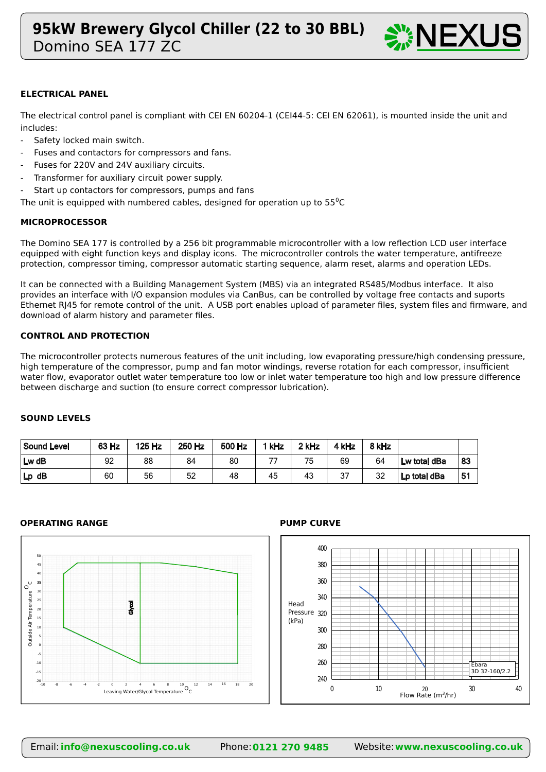

### **ELECTRICAL PANEL**

The electrical control panel is compliant with CEI EN 60204-1 (CEI44-5: CEI EN 62061), is mounted inside the unit and includes:

- Safety locked main switch.
- Fuses and contactors for compressors and fans.
- Fuses for 220V and 24V auxiliary circuits.
- Transformer for auxiliary circuit power supply.
- Start up contactors for compressors, pumps and fans

The unit is equipped with numbered cables, designed for operation up to  $55^{\circ}$ C

### **MICROPROCESSOR**

The Domino SEA 177 is controlled by a 256 bit programmable microcontroller with a low reflection LCD user interface equipped with eight function keys and display icons. The microcontroller controls the water temperature, antifreeze protection, compressor timing, compressor automatic starting sequence, alarm reset, alarms and operation LEDs.

It can be connected with a Building Management System (MBS) via an integrated RS485/Modbus interface. It also provides an interface with I/O expansion modules via CanBus, can be controlled by voltage free contacts and suports Ethernet RJ45 for remote control of the unit. A USB port enables upload of parameter files, system files and firmware, and download of alarm history and parameter files.

#### **CONTROL AND PROTECTION**

The microcontroller protects numerous features of the unit including, low evaporating pressure/high condensing pressure, high temperature of the compressor, pump and fan motor windings, reverse rotation for each compressor, insufficient water flow, evaporator outlet water temperature too low or inlet water temperature too high and low pressure difference between discharge and suction (to ensure correct compressor lubrication).

### **SOUND LEVELS**

| Sound Level | 63 Hz | 125 Hz | 250 Hz | 500 Hz | 1 kHz | 2 kHz | 4 kHz | 8 kHz |              |    |
|-------------|-------|--------|--------|--------|-------|-------|-------|-------|--------------|----|
| $Lw$ dB     | 92    | 88     | 84     | 80     |       | 75    | 69    | 64    | Lw total dBa | 83 |
| $Lp$ dB     | 60    | 56     | 52     | 48     | 45    | 43    | 37    | 32    | Lp total dBa | 51 |

#### **OPERATING RANGE PUMP CURVE**